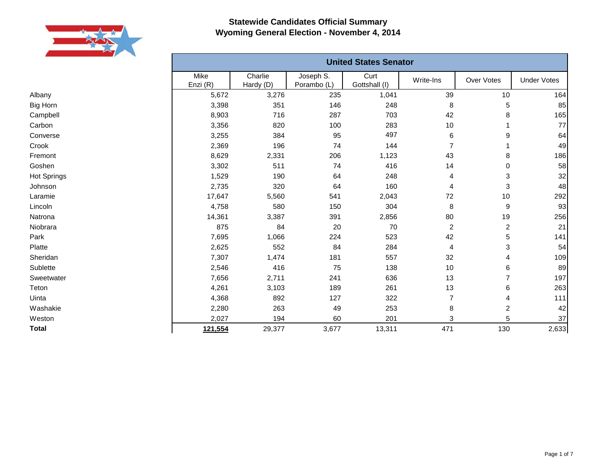

|                 |                  |                      |                          | <b>United States Senator</b> |           |            |                    |
|-----------------|------------------|----------------------|--------------------------|------------------------------|-----------|------------|--------------------|
|                 | Mike<br>Enzi (R) | Charlie<br>Hardy (D) | Joseph S.<br>Porambo (L) | Curt<br>Gottshall (I)        | Write-Ins | Over Votes | <b>Under Votes</b> |
| Albany          | 5,672            | 3,276                | 235                      | 1,041                        | 39        | 10         | 164                |
| Big Horn        | 3,398            | 351                  | 146                      | 248                          | 8         | 5          | 85                 |
| Campbell        | 8,903            | 716                  | 287                      | 703                          | 42        | 8          | 165                |
| Carbon          | 3,356            | 820                  | 100                      | 283                          | 10        |            | 77                 |
| Converse        | 3,255            | 384                  | 95                       | 497                          | 6         | 9          | 64                 |
| Crook           | 2,369            | 196                  | 74                       | 144                          | 7         |            | 49                 |
| Fremont         | 8,629            | 2,331                | 206                      | 1,123                        | 43        | 8          | 186                |
| Goshen          | 3,302            | 511                  | 74                       | 416                          | 14        | 0          | 58                 |
| Hot Springs     | 1,529            | 190                  | 64                       | 248                          | 4         | 3          | 32                 |
| Johnson         | 2,735            | 320                  | 64                       | 160                          | 4         | 3          | 48                 |
| Laramie         | 17,647           | 5,560                | 541                      | 2,043                        | 72        | 10         | 292                |
| Lincoln         | 4,758            | 580                  | 150                      | 304                          | 8         | 9          | 93                 |
| Natrona         | 14,361           | 3,387                | 391                      | 2,856                        | 80        | 19         | 256                |
| Niobrara        | 875              | 84                   | 20                       | 70                           | 2         | 2          | 21                 |
| Park            | 7,695            | 1,066                | 224                      | 523                          | 42        | 5          | 141                |
| Platte          | 2,625            | 552                  | 84                       | 284                          | 4         | 3          | 54                 |
| Sheridan        | 7,307            | 1,474                | 181                      | 557                          | 32        | 4          | 109                |
| <b>Sublette</b> | 2,546            | 416                  | 75                       | 138                          | 10        | 6          | 89                 |
| Sweetwater      | 7,656            | 2,711                | 241                      | 636                          | 13        |            | 197                |
| Teton           | 4,261            | 3,103                | 189                      | 261                          | 13        | 6          | 263                |
| Uinta           | 4,368            | 892                  | 127                      | 322                          | 7         | 4          | 111                |
| Washakie        | 2,280            | 263                  | 49                       | 253                          | 8         | 2          | 42                 |
| Weston          | 2,027            | 194                  | 60                       | 201                          | 3         | 5          | 37                 |
| Total           | 121,554          | 29,377               | 3,677                    | 13,311                       | 471       | 130        | 2,633              |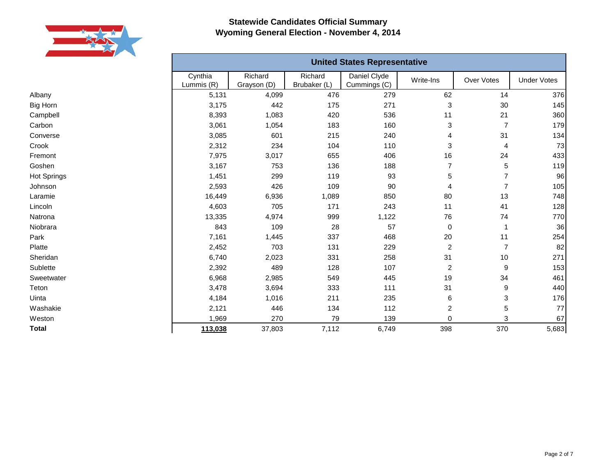

Albany Big Horn Campbell Carbon Converse Crook Fremont Goshen Hot Springs Johnson Laramie Lincoln Natrona Niobrara Park Platte Sheridan Sublette Sweetwater Teton Uinta Washakie Weston **Total**

|                       |                        |                         | <b>United States Representative</b> |                           |                  |                    |
|-----------------------|------------------------|-------------------------|-------------------------------------|---------------------------|------------------|--------------------|
| Cynthia<br>Lummis (R) | Richard<br>Grayson (D) | Richard<br>Brubaker (L) | Daniel Clyde<br>Cummings (C)        | Write-Ins                 | Over Votes       | <b>Under Votes</b> |
| 5,131                 | 4,099                  | 476                     | 279                                 | 62                        | 14               | 376                |
| 3,175                 | 442                    | 175                     | 271                                 | $\ensuremath{\mathsf{3}}$ | 30               | 145                |
| 8,393                 | 1,083                  | 420                     | 536                                 | 11                        | 21               | 360                |
| 3,061                 | 1,054                  | 183                     | 160                                 | 3                         | $\overline{7}$   | 179                |
| 3,085                 | 601                    | 215                     | 240                                 | 4                         | 31               | 134                |
| 2,312                 | 234                    | 104                     | 110                                 | 3                         | 4                | 73                 |
| 7,975                 | 3,017                  | 655                     | 406                                 | 16                        | 24               | 433                |
| 3,167                 | 753                    | 136                     | 188                                 | $\overline{7}$            | 5                | 119                |
| 1,451                 | 299                    | 119                     | 93                                  | 5                         | 7                | 96                 |
| 2,593                 | 426                    | 109                     | 90                                  | 4                         | $\overline{7}$   | 105                |
| 16,449                | 6,936                  | 1,089                   | 850                                 | 80                        | 13               | 748                |
| 4,603                 | 705                    | 171                     | 243                                 | 11                        | 41               | 128                |
| 13,335                | 4,974                  | 999                     | 1,122                               | 76                        | 74               | 770                |
| 843                   | 109                    | 28                      | 57                                  | $\mathbf 0$               | $\mathbf{1}$     | 36                 |
| 7,161                 | 1,445                  | 337                     | 468                                 | 20                        | 11               | 254                |
| 2,452                 | 703                    | 131                     | 229                                 | $\overline{c}$            | $\overline{7}$   | 82                 |
| 6,740                 | 2,023                  | 331                     | 258                                 | 31                        | 10               | 271                |
| 2,392                 | 489                    | 128                     | 107                                 | $\overline{2}$            | $\boldsymbol{9}$ | 153                |
| 6,968                 | 2,985                  | 549                     | 445                                 | 19                        | 34               | 461                |
| 3,478                 | 3,694                  | 333                     | 111                                 | 31                        | $\boldsymbol{9}$ | 440                |
| 4,184                 | 1,016                  | 211                     | 235                                 | 6                         | 3                | 176                |
| 2,121                 | 446                    | 134                     | 112                                 | $\overline{c}$            | 5                | 77                 |
| 1,969                 | 270                    | 79                      | 139                                 | 0                         | 3                | 67                 |
| 113,038               | 37,803                 | 7,112                   | 6,749                               | 398                       | 370              | 5,683              |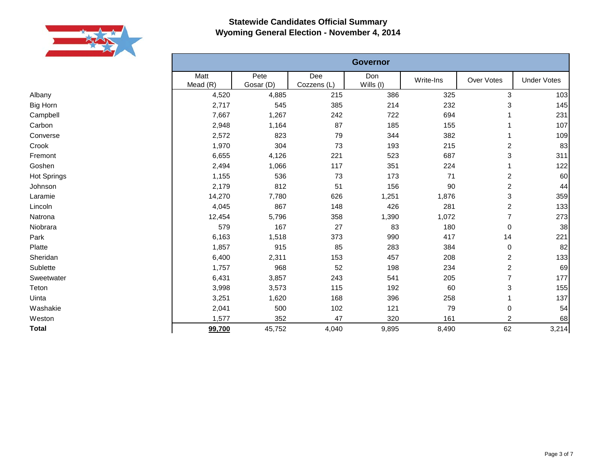

|                 |                    |                   |                    | <b>Governor</b>  |           |                         |                    |
|-----------------|--------------------|-------------------|--------------------|------------------|-----------|-------------------------|--------------------|
|                 | Matt<br>Mead $(R)$ | Pete<br>Gosar (D) | Dee<br>Cozzens (L) | Don<br>Wills (I) | Write-Ins | Over Votes              | <b>Under Votes</b> |
| Albany          | 4,520              | 4,885             | 215                | 386              | 325       | $\sqrt{3}$              | 103                |
| <b>Big Horn</b> | 2,717              | 545               | 385                | 214              | 232       | 3                       | 145                |
| Campbell        | 7,667              | 1,267             | 242                | 722              | 694       |                         | 231                |
| Carbon          | 2,948              | 1,164             | 87                 | 185              | 155       |                         | 107                |
| Converse        | 2,572              | 823               | 79                 | 344              | 382       | 1                       | 109                |
| Crook           | 1,970              | 304               | 73                 | 193              | 215       | 2                       | 83                 |
| Fremont         | 6,655              | 4,126             | 221                | 523              | 687       | 3                       | 311                |
| Goshen          | 2,494              | 1,066             | 117                | 351              | 224       |                         | 122                |
| Hot Springs     | 1,155              | 536               | 73                 | 173              | 71        | 2                       | 60                 |
| Johnson         | 2,179              | 812               | 51                 | 156              | 90        | $\overline{\mathbf{c}}$ | 44                 |
| Laramie         | 14,270             | 7,780             | 626                | 1,251            | 1,876     | 3                       | 359                |
| Lincoln         | 4,045              | 867               | 148                | 426              | 281       | $\overline{\mathbf{c}}$ | 133                |
| Natrona         | 12,454             | 5,796             | 358                | 1,390            | 1,072     | 7                       | 273                |
| Niobrara        | 579                | 167               | 27                 | 83               | 180       | 0                       | 38                 |
| Park            | 6,163              | 1,518             | 373                | 990              | 417       | 14                      | 221                |
| Platte          | 1,857              | 915               | 85                 | 283              | 384       | $\pmb{0}$               | 82                 |
| Sheridan        | 6,400              | 2,311             | 153                | 457              | 208       | 2                       | 133                |
| Sublette        | 1,757              | 968               | 52                 | 198              | 234       | $\overline{c}$          | 69                 |
| Sweetwater      | 6,431              | 3,857             | 243                | 541              | 205       | $\overline{7}$          | 177                |
| Teton           | 3,998              | 3,573             | 115                | 192              | 60        | 3                       | 155                |
| Uinta           | 3,251              | 1,620             | 168                | 396              | 258       | 1                       | 137                |
| Washakie        | 2,041              | 500               | 102                | 121              | 79        | $\pmb{0}$               | 54                 |
| Weston          | 1,577              | 352               | 47                 | 320              | 161       | $\overline{2}$          | 68                 |
| <b>Total</b>    | 99,700             | 45,752            | 4,040              | 9,895            | 8,490     | 62                      | 3,214              |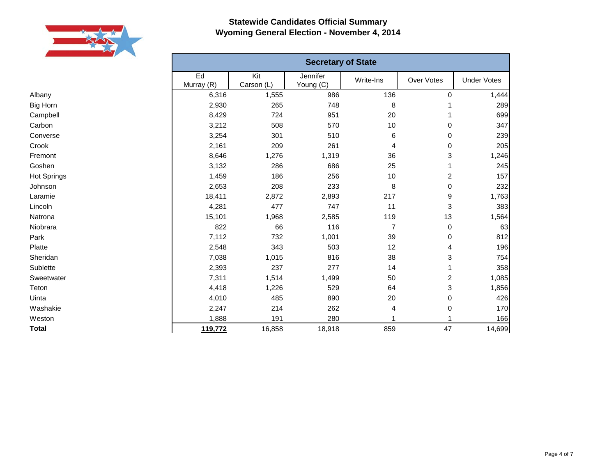

Albany Big Horn Campbell Carbon Converse Crook Fremont Goshen Hot Springs Johnson Laramie Lincoln Natrona Niobrara Park Platte Sheridan Sublette Sweetwater Teton Uinta Washakie Weston **Total**

|                  |                   | <b>Secretary of State</b> |                |                         |                    |
|------------------|-------------------|---------------------------|----------------|-------------------------|--------------------|
| Ed<br>Murray (R) | Kit<br>Carson (L) | Jennifer<br>Young (C)     | Write-Ins      | Over Votes              | <b>Under Votes</b> |
| 6,316            | 1,555             | 986                       | 136            | $\pmb{0}$               | 1,444              |
| 2,930            | 265               | 748                       | 8              | 1                       | 289                |
| 8,429            | 724               | 951                       | 20             | 1                       | 699                |
| 3,212            | 508               | 570                       | 10             | 0                       | 347                |
| 3,254            | 301               | 510                       | 6              | $\mathbf 0$             | 239                |
| 2,161            | 209               | 261                       | 4              | 0                       | 205                |
| 8,646            | 1,276             | 1,319                     | 36             | 3                       | 1,246              |
| 3,132            | 286               | 686                       | 25             | 1                       | 245                |
| 1,459            | 186               | 256                       | 10             | $\overline{\mathbf{c}}$ | 157                |
| 2,653            | 208               | 233                       | 8              | 0                       | 232                |
| 18,411           | 2,872             | 2,893                     | 217            | 9                       | 1,763              |
| 4,281            | 477               | 747                       | 11             | 3                       | 383                |
| 15,101           | 1,968             | 2,585                     | 119            | 13                      | 1,564              |
| 822              | 66                | 116                       | $\overline{7}$ | $\,0\,$                 | 63                 |
| 7,112            | 732               | 1,001                     | 39             | $\,0\,$                 | 812                |
| 2,548            | 343               | 503                       | 12             | 4                       | 196                |
| 7,038            | 1,015             | 816                       | 38             | 3                       | 754                |
| 2,393            | 237               | 277                       | 14             | 1                       | 358                |
| 7,311            | 1,514             | 1,499                     | 50             | $\overline{\mathbf{c}}$ | 1,085              |
| 4,418            | 1,226             | 529                       | 64             | 3                       | 1,856              |
| 4,010            | 485               | 890                       | 20             | $\,0\,$                 | 426                |
| 2,247            | 214               | 262                       | 4              | $\pmb{0}$               | 170                |
| 1,888            | 191               | 280                       | 1              |                         | 166                |
| 119,772          | 16,858            | 18,918                    | 859            | 47                      | 14,699             |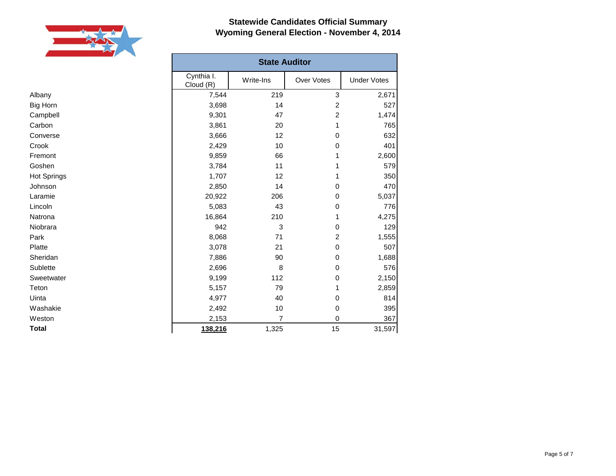

|                    | <b>State Auditor</b>    |           |                |                    |
|--------------------|-------------------------|-----------|----------------|--------------------|
|                    | Cynthia I.<br>Cloud (R) | Write-Ins | Over Votes     | <b>Under Votes</b> |
| Albany             | 7,544                   | 219       | 3              | 2,671              |
| <b>Big Horn</b>    | 3,698                   | 14        | 2              | 527                |
| Campbell           | 9,301                   | 47        | $\overline{c}$ | 1,474              |
| Carbon             | 3,861                   | 20        | 1              | 765                |
| Converse           | 3,666                   | 12        | 0              | 632                |
| Crook              | 2,429                   | 10        | 0              | 401                |
| Fremont            | 9,859                   | 66        | 1              | 2,600              |
| Goshen             | 3,784                   | 11        | 1              | 579                |
| <b>Hot Springs</b> | 1,707                   | 12        | 1              | 350                |
| Johnson            | 2,850                   | 14        | 0              | 470                |
| Laramie            | 20,922                  | 206       | 0              | 5,037              |
| Lincoln            | 5,083                   | 43        | 0              | 776                |
| Natrona            | 16,864                  | 210       | 1              | 4,275              |
| Niobrara           | 942                     | 3         | $\mathbf 0$    | 129                |
| Park               | 8,068                   | 71        | 2              | 1,555              |
| Platte             | 3,078                   | 21        | 0              | 507                |
| Sheridan           | 7,886                   | 90        | 0              | 1,688              |
| Sublette           | 2,696                   | 8         | 0              | 576                |
| Sweetwater         | 9,199                   | 112       | 0              | 2,150              |
| Teton              | 5,157                   | 79        | 1              | 2,859              |
| Uinta              | 4,977                   | 40        | 0              | 814                |
| Washakie           | 2,492                   | 10        | 0              | 395                |
| Weston             | 2,153                   | 7         | 0              | 367                |
| <b>Total</b>       | 138,216                 | 1,325     | 15             | 31,597             |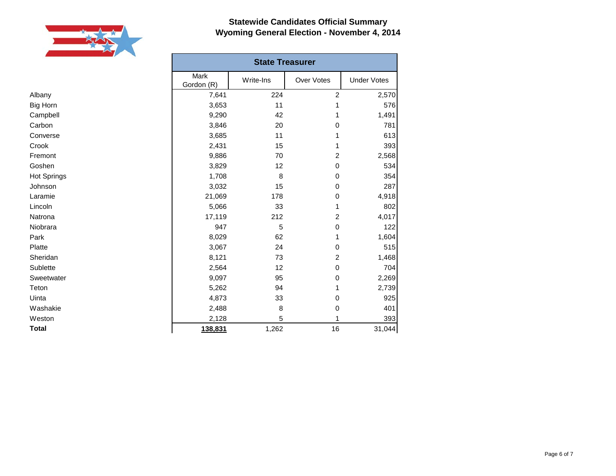

|                    | <b>State Treasurer</b> |           |                |                    |  |
|--------------------|------------------------|-----------|----------------|--------------------|--|
|                    | Mark<br>Gordon (R)     | Write-Ins | Over Votes     | <b>Under Votes</b> |  |
| Albany             | 7,641                  | 224       | $\overline{c}$ | 2,570              |  |
| <b>Big Horn</b>    | 3,653                  | 11        | 1              | 576                |  |
| Campbell           | 9,290                  | 42        | 1              | 1,491              |  |
| Carbon             | 3,846                  | 20        | 0              | 781                |  |
| Converse           | 3,685                  | 11        |                | 613                |  |
| Crook              | 2,431                  | 15        | 1              | 393                |  |
| Fremont            | 9,886                  | 70        | 2              | 2,568              |  |
| Goshen             | 3,829                  | 12        | 0              | 534                |  |
| <b>Hot Springs</b> | 1,708                  | 8         | 0              | 354                |  |
| Johnson            | 3,032                  | 15        | 0              | 287                |  |
| Laramie            | 21,069                 | 178       | 0              | 4,918              |  |
| Lincoln            | 5,066                  | 33        |                | 802                |  |
| Natrona            | 17,119                 | 212       | 2              | 4,017              |  |
| Niobrara           | 947                    | 5         | 0              | 122                |  |
| Park               | 8,029                  | 62        | 1              | 1,604              |  |
| Platte             | 3,067                  | 24        | 0              | 515                |  |
| Sheridan           | 8,121                  | 73        | 2              | 1,468              |  |
| Sublette           | 2,564                  | 12        | 0              | 704                |  |
| Sweetwater         | 9,097                  | 95        | 0              | 2,269              |  |
| Teton              | 5,262                  | 94        |                | 2,739              |  |
| Uinta              | 4,873                  | 33        | 0              | 925                |  |
| Washakie           | 2,488                  | 8         | 0              | 401                |  |
| Weston             | 2,128                  | 5         |                | 393                |  |
| <b>Total</b>       | 138,831                | 1,262     | 16             | 31,044             |  |